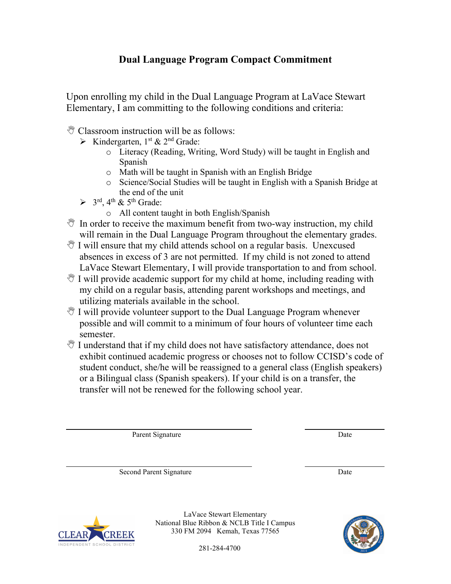## **Dual Language Program Compact Commitment**

Upon enrolling my child in the Dual Language Program at LaVace Stewart Elementary, I am committing to the following conditions and criteria:

- $\mathbb{C}$  Classroom instruction will be as follows:
	- $\triangleright$  Kindergarten, 1<sup>st</sup> & 2<sup>nd</sup> Grade:
		- o Literacy (Reading, Writing, Word Study) will be taught in English and Spanish
		- o Math will be taught in Spanish with an English Bridge
		- o Science/Social Studies will be taught in English with a Spanish Bridge at the end of the unit
	- $\geq$  3<sup>rd</sup>, 4<sup>th</sup> & 5<sup>th</sup> Grade:
		- o All content taught in both English/Spanish
- $\mathcal{F}$  In order to receive the maximum benefit from two-way instruction, my child will remain in the Dual Language Program throughout the elementary grades.
- $\mathcal Y$  I will ensure that my child attends school on a regular basis. Unexcused absences in excess of 3 are not permitted. If my child is not zoned to attend LaVace Stewart Elementary, I will provide transportation to and from school.
- $\mathbb{V}$  I will provide academic support for my child at home, including reading with my child on a regular basis, attending parent workshops and meetings, and utilizing materials available in the school.
- $\mathcal Y$  I will provide volunteer support to the Dual Language Program whenever possible and will commit to a minimum of four hours of volunteer time each semester.
- $\mathcal{N}$  I understand that if my child does not have satisfactory attendance, does not exhibit continued academic progress or chooses not to follow CCISD's code of student conduct, she/he will be reassigned to a general class (English speakers) or a Bilingual class (Spanish speakers). If your child is on a transfer, the transfer will not be renewed for the following school year.

Parent Signature Date

Second Parent Signature Date



LaVace Stewart Elementary National Blue Ribbon & NCLB Title I Campus 330 FM 2094 Kemah, Texas 77565

281-284-4700